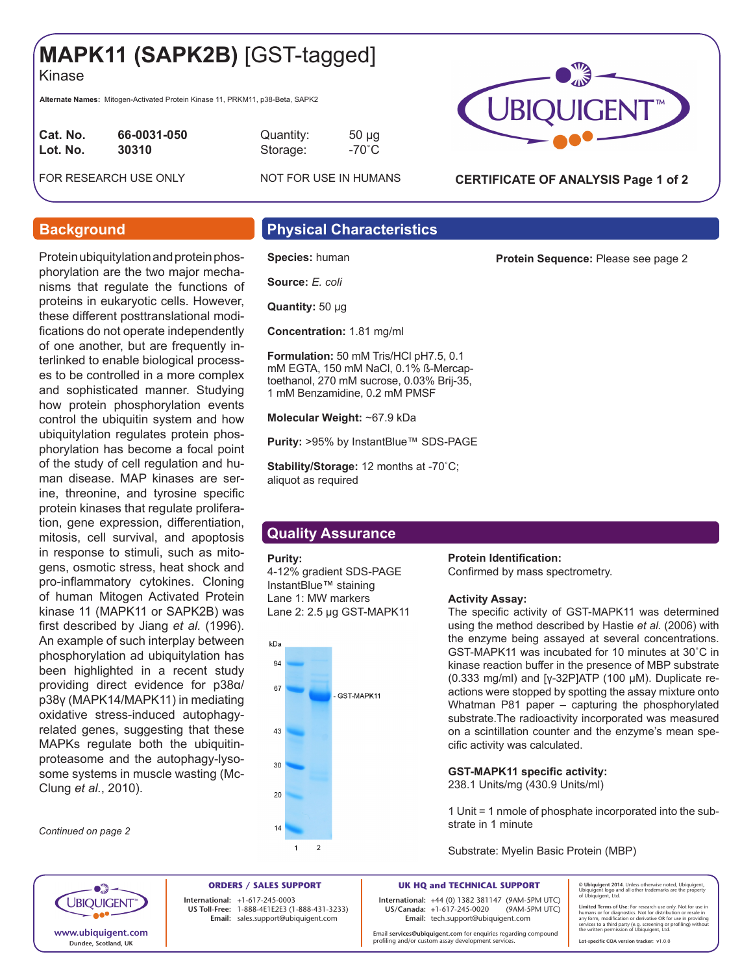# **MAPK11 (SAPK2B)** [GST-tagged]

Kinase

**Alternate Names:** Mitogen-Activated Protein Kinase 11, PRKM11, p38-Beta, SAPK2

| Cat. No. | 66-0031-050 |
|----------|-------------|
| Lot. No. | 30310       |
|          |             |

**Cat. No. 66-0031-050** Quantity: 50 µg **Lot. No. 30310** Storage: -70˚C

FOR RESEARCH USE ONLY NOT FOR USE IN HUMANS



**CERTIFICATE OF ANALYSIS Page 1 of 2**

**Protein Sequence:** Please see page 2

Protein ubiquitylation and protein phosphorylation are the two major mechanisms that regulate the functions of proteins in eukaryotic cells. However, these different posttranslational modifications do not operate independently of one another, but are frequently interlinked to enable biological processes to be controlled in a more complex and sophisticated manner. Studying how protein phosphorylation events control the ubiquitin system and how ubiquitylation regulates protein phosphorylation has become a focal point of the study of cell regulation and human disease. MAP kinases are serine, threonine, and tyrosine specific protein kinases that regulate proliferation, gene expression, differentiation, mitosis, cell survival, and apoptosis in response to stimuli, such as mitogens, osmotic stress, heat shock and pro-inflammatory cytokines. Cloning of human Mitogen Activated Protein kinase 11 (MAPK11 or SAPK2B) was first described by Jiang *et al.* (1996). An example of such interplay between phosphorylation ad ubiquitylation has been highlighted in a recent study providing direct evidence for p38α/ p38γ (MAPK14/MAPK11) in mediating oxidative stress-induced autophagyrelated genes, suggesting that these MAPKs regulate both the ubiquitinproteasome and the autophagy-lysosome systems in muscle wasting (Mc-Clung *et al.*, 2010).

*Continued on page 2*

## **Background Physical Characteristics**

**Species:** human

**Source:** *E. coli*

**Quantity:** 50 μg

**Concentration:** 1.81 mg/ml

**Formulation:** 50 mM Tris/HCl pH7.5, 0.1 mM EGTA, 150 mM NaCl, 0.1% ß-Mercaptoethanol, 270 mM sucrose, 0.03% Brij-35, 1 mM Benzamidine, 0.2 mM PMSF

**Molecular Weight:** ~67.9 kDa

**Purity:** >95% by InstantBlue™ SDS-PAGE

**Stability/Storage:** 12 months at -70˚C; aliquot as required

# **Quality Assurance**

### **Purity:**

4-12% gradient SDS-PAGE InstantBlue™ staining Lane 1: MW markers Lane 2: 2.5 µg GST-MAPK11



**Protein Identification:** 

Confirmed by mass spectrometry.

### **Activity Assay:**

The specific activity of GST-MAPK11 was determined using the method described by Hastie *et al.* (2006) with the enzyme being assayed at several concentrations. GST-MAPK11 was incubated for 10 minutes at 30˚C in kinase reaction buffer in the presence of MBP substrate (0.333 mg/ml) and [γ-32P]ATP (100 μM). Duplicate reactions were stopped by spotting the assay mixture onto Whatman P81 paper – capturing the phosphorylated substrate.The radioactivity incorporated was measured on a scintillation counter and the enzyme's mean specific activity was calculated.

## **GST-MAPK11 specific activity:**

238.1 Units/mg (430.9 Units/ml)

1 Unit = 1 nmole of phosphate incorporated into the substrate in 1 minute

Substrate: Myelin Basic Protein (MBP)



**ORDERS / SALES SUPPORT International: +**1-617-245-0003 **US Toll-Free:** 1-888-4E1E2E3 (1-888-431-3233) **Email:** sales.support@ubiquigent.com

**UK HQ and TECHNICAL SUPPORT International:** +44 (0) 1382 381147 (9AM-5PM UTC) **US/Canada:** +1-617-245-0020 **Email:** tech.support@ubiquigent.com

Email **services@ubiquigent.com** for enquiries regarding compound profiling and/or custom assay development services.

**© Ubiquigent 2014**. Unless otherwise noted, Ubiquigent, Ubiquigent logo and all other trademarks are the property of Ubiquigent, Ltd.

Limited Terms of Use: For research use only. Not for use in<br>humans or for diagnostics. Not for distribution or resale in<br>any form, modification or derivative OR for use in providing<br>services to a third party (e.g. screenin **Lot-specific COA version tracker: v**1.0.0